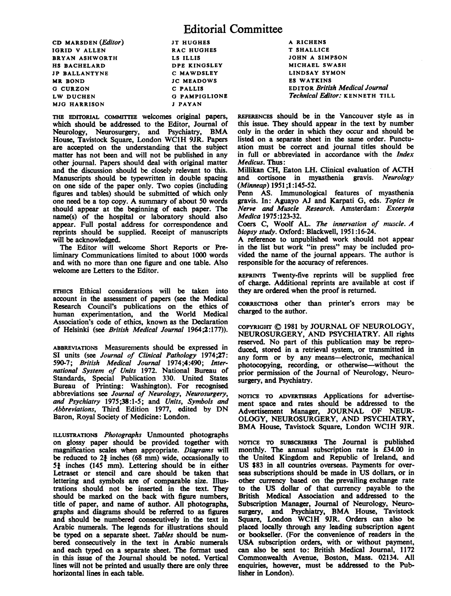CD MARSDEN (Editor) IGRID V ALLEN BRYAN ASHWORTH HS BACHELARD JP BALLANTYNE MR BOND G CURZON LW DUCHEN MJG HARRISON

JT HUGHES RAC HUGHES LS ILLIS DPE KINGSLEY C MAWDSLEY JC MEADOWS C PALLIS G PAMPIGLIONE <sup>J</sup> PAYAN

THE EDITORIAL COMMITTEE welcomes original papers, which should be addressed to the Editor, Journal of Neurology, Neurosurgery, and Psychiatry, BMA House, Tavistock Square, London WC1H 9JR. Papers are accepted on the understanding that the subject matter has not been and will not be published in any other journal. Papers should deal with original matter and the discussion should be closely relevant to this. Manuscripts should be typewritten in double spacing on one side of the paper only. Two copies (including figures and tables) should be submitted of which only one need be <sup>a</sup> top copy. A summary of about <sup>50</sup> words should appear at the beginning of each paper. The name(s) of the hospital or laboratory should also appear. Full postal address for correspondence and reprints should be supplied. Receipt of manuscripts will be acknowledged.

The Editor will welcome Short Reports or Preliminary Communications limited to about 1000 words and with no more than one figure and one table. Also welcome are Letters to the Editor.

ETHICS Ethical considerations will be taken into account in the assessment of papers (see the Medical Research Council's publications on the ethics of human experimentation, and the World Medical Association's code of ethics, known as the Declaration of Helsinki (see British Medical Journal 1964;2:177)).

ABBREVIATIONS Measurements should be expressed in SI units (see Journal of Clinical Pathology 1974;27: 590-7; British Medical Journal 1974;4:490; International System of Units 1972. National Bureau of Standards, Special Publication 330. United States Bureau of Printing: Washington). For recognised abbreviations see Journal of Neurology, Neurosurgery, and Psychiatry 1975;38:1-5; and Units, Symbols and Abbreviations, Third Edition 1977, edited by DN Baron, Royal Society of Medicine: London.

ILLUSTRATIONS Photographs Unmounted photographs on glossy paper should be provided together with magnification scales when appropriate. Diagrams will be reduced to  $2\frac{3}{2}$  inches (68 mm) wide, occasionally to 5j inches (145 mm). Lettering should be in either Letraset or stencil and care should be taken that lettering and symbols are of comparable size. Illustrations should not be inserted in the text. They should be marked on the back with figure numbers, title of paper, and name of author. All photographs, graphs and diagrams should be referred to as figures and should be numbered consecutively in the text in Arabic numerals. The legends for illustrations should be typed on a separate sheet. Tables should be numbered consecutively in the text in Arabic numerals and each typed on a separate sheet. The format used in this issue of the Journal should be noted. Vertical lines will not be printed and usually there are only three horizontal lines in each table.

A RICHENS T SHALLICE JOHN A SIMPSON MICHAEL SWASH LINDSAY SYMON ES WATKINS EDITOR British Medical Journal Technical Editor: KENNETH TILL

REFERENCES should be in the Vancouver style as in this issue. They should appear in the text by number only in the order in which they occur and should be listed on a separate sheet in the same order. Punctuation must be correct and journal titles should be in full or abbreviated in accordance with the Index Medicus. Thus:

Millikan CH, Eaton LH. Clinical evaluation of ACTH and cortisone in myasthenia gravis. Neurology (Minneap) 1951;1 :145-52.

Penn AS. Immunological features of myasthenia gravis. In: Aguayo AJ and Karpati G, eds. Topics in Nerve and Muscle Research. Amsterdam: Excerpta Medica 1975:123-32.

Coers C, Woolf AL. The innervation of muscle. A biopsy study. Oxford: Blackwell, 1951:16-24.

A reference to unpublished work should not appear in the list but work "in press" may be included provided the name of the journal appears. The author is responsible for the accuracy of references.

REPRINTS Twenty-five reprints will be supplied free of charge. Additional reprints are available at cost if they are ordered when the proof is returned.

CORRECTIONS other than printer's errors may be charged to the author.

COPYRIGHT © <sup>1981</sup> by JOURNAL OF NEUROLOGY, NEUROSURGERY, AND PSYCHIATRY. All rights reserved. No part of this publication may be reproduced, stored in a retrieval system, or transmitted in any form or by any means-electronic, mechanical photocopying, recording, or otherwise-without the prior permission of the Journal of Neurology, Neurosurgery, and Psychiatry.

NOTICE TO ADVERTISERS Applications for advertisement space and rates should be addressed to the Advertisement Manager, JOURNAL OF NEUR-OLOGY, NEUROSURGERY, AND PSYCHIATRY, BMA House, Tavistock Square, London WC1H 9JR.

NOTiCE TO SUBSCRIBERS The Journal is published monthly. The annual subscription rate is  $\hat{E}34.00$  in the United Kingdom and Republic of Ireland, and US \$83 in all countries overseas. Payments for overseas subscriptions should be made in US dollars, or in other currency based on the prevailing exchange rate to the US dollar of that currency payable to the British Medical Association and addressed to the Subscription Manager, Journal of Neurology, Neurosurgery, and Psychiatry, BMA House, Tavistock Square, London WC1H 9JR. Orders can also be placed locally through any leading subscription agent or bookseller. (For the convenience of readers in the USA subscription orders, with or without payment, can also be sent to: British Medical Journal, 1172 Commonwealth Avenue, Boston, Mass. 02134. All enquiries, however, must be addressed to the Publisher in London).